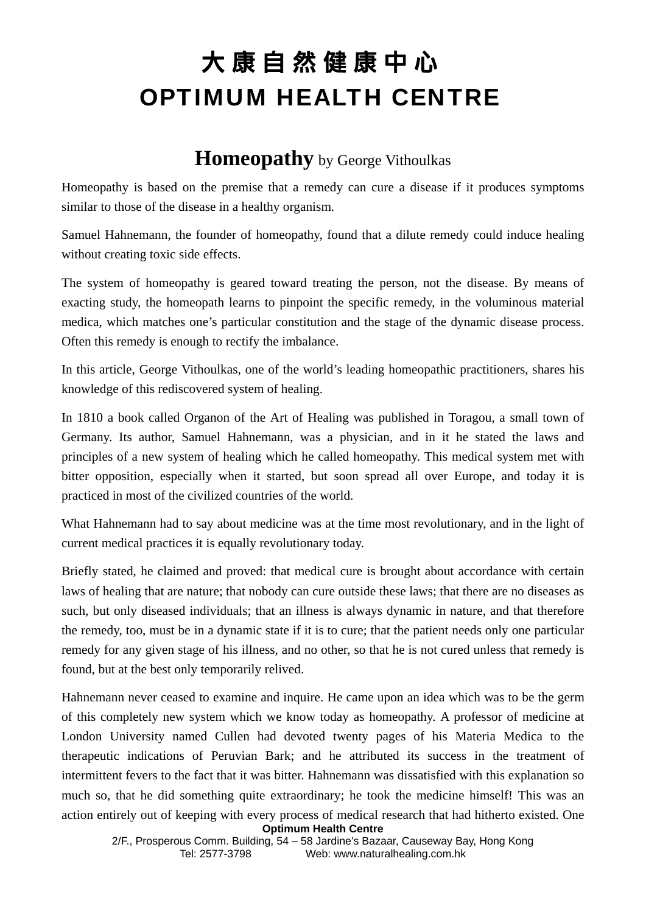#### **Homeopathy** by George Vithoulkas

Homeopathy is based on the premise that a remedy can cure a disease if it produces symptoms similar to those of the disease in a healthy organism.

Samuel Hahnemann, the founder of homeopathy, found that a dilute remedy could induce healing without creating toxic side effects.

The system of homeopathy is geared toward treating the person, not the disease. By means of exacting study, the homeopath learns to pinpoint the specific remedy, in the voluminous material medica, which matches one's particular constitution and the stage of the dynamic disease process. Often this remedy is enough to rectify the imbalance.

In this article, George Vithoulkas, one of the world's leading homeopathic practitioners, shares his knowledge of this rediscovered system of healing.

In 1810 a book called Organon of the Art of Healing was published in Toragou, a small town of Germany. Its author, Samuel Hahnemann, was a physician, and in it he stated the laws and principles of a new system of healing which he called homeopathy. This medical system met with bitter opposition, especially when it started, but soon spread all over Europe, and today it is practiced in most of the civilized countries of the world.

What Hahnemann had to say about medicine was at the time most revolutionary, and in the light of current medical practices it is equally revolutionary today.

Briefly stated, he claimed and proved: that medical cure is brought about accordance with certain laws of healing that are nature; that nobody can cure outside these laws; that there are no diseases as such, but only diseased individuals; that an illness is always dynamic in nature, and that therefore the remedy, too, must be in a dynamic state if it is to cure; that the patient needs only one particular remedy for any given stage of his illness, and no other, so that he is not cured unless that remedy is found, but at the best only temporarily relived.

Hahnemann never ceased to examine and inquire. He came upon an idea which was to be the germ of this completely new system which we know today as homeopathy. A professor of medicine at London University named Cullen had devoted twenty pages of his Materia Medica to the therapeutic indications of Peruvian Bark; and he attributed its success in the treatment of intermittent fevers to the fact that it was bitter. Hahnemann was dissatisfied with this explanation so much so, that he did something quite extraordinary; he took the medicine himself! This was an action entirely out of keeping with every process of medical research that had hitherto existed. One

**Optimum Health Centre**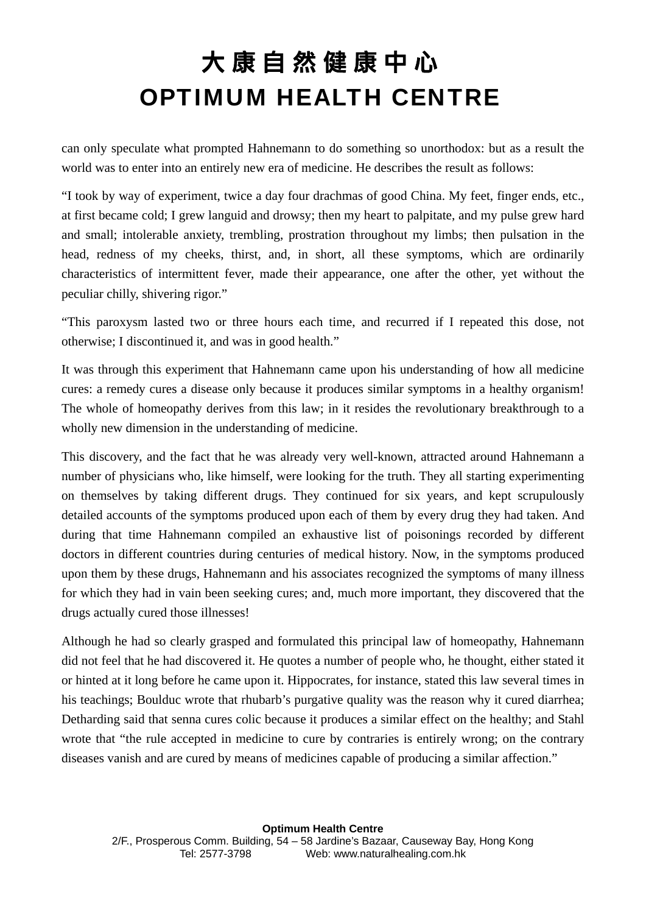can only speculate what prompted Hahnemann to do something so unorthodox: but as a result the world was to enter into an entirely new era of medicine. He describes the result as follows:

"I took by way of experiment, twice a day four drachmas of good China. My feet, finger ends, etc., at first became cold; I grew languid and drowsy; then my heart to palpitate, and my pulse grew hard and small; intolerable anxiety, trembling, prostration throughout my limbs; then pulsation in the head, redness of my cheeks, thirst, and, in short, all these symptoms, which are ordinarily characteristics of intermittent fever, made their appearance, one after the other, yet without the peculiar chilly, shivering rigor."

"This paroxysm lasted two or three hours each time, and recurred if I repeated this dose, not otherwise; I discontinued it, and was in good health."

It was through this experiment that Hahnemann came upon his understanding of how all medicine cures: a remedy cures a disease only because it produces similar symptoms in a healthy organism! The whole of homeopathy derives from this law; in it resides the revolutionary breakthrough to a wholly new dimension in the understanding of medicine.

This discovery, and the fact that he was already very well-known, attracted around Hahnemann a number of physicians who, like himself, were looking for the truth. They all starting experimenting on themselves by taking different drugs. They continued for six years, and kept scrupulously detailed accounts of the symptoms produced upon each of them by every drug they had taken. And during that time Hahnemann compiled an exhaustive list of poisonings recorded by different doctors in different countries during centuries of medical history. Now, in the symptoms produced upon them by these drugs, Hahnemann and his associates recognized the symptoms of many illness for which they had in vain been seeking cures; and, much more important, they discovered that the drugs actually cured those illnesses!

Although he had so clearly grasped and formulated this principal law of homeopathy, Hahnemann did not feel that he had discovered it. He quotes a number of people who, he thought, either stated it or hinted at it long before he came upon it. Hippocrates, for instance, stated this law several times in his teachings; Boulduc wrote that rhubarb's purgative quality was the reason why it cured diarrhea; Detharding said that senna cures colic because it produces a similar effect on the healthy; and Stahl wrote that "the rule accepted in medicine to cure by contraries is entirely wrong; on the contrary diseases vanish and are cured by means of medicines capable of producing a similar affection."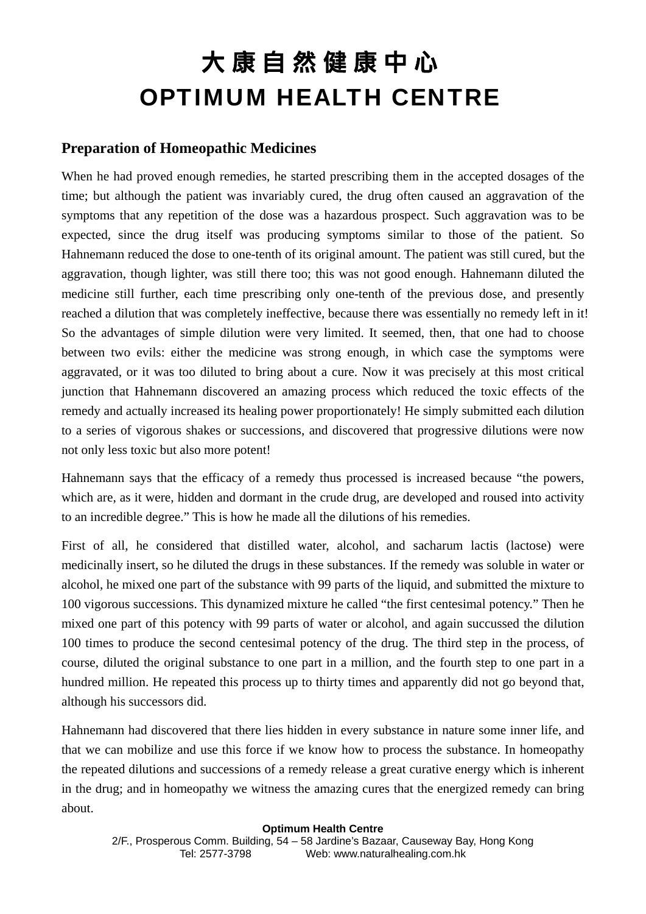#### **Preparation of Homeopathic Medicines**

When he had proved enough remedies, he started prescribing them in the accepted dosages of the time; but although the patient was invariably cured, the drug often caused an aggravation of the symptoms that any repetition of the dose was a hazardous prospect. Such aggravation was to be expected, since the drug itself was producing symptoms similar to those of the patient. So Hahnemann reduced the dose to one-tenth of its original amount. The patient was still cured, but the aggravation, though lighter, was still there too; this was not good enough. Hahnemann diluted the medicine still further, each time prescribing only one-tenth of the previous dose, and presently reached a dilution that was completely ineffective, because there was essentially no remedy left in it! So the advantages of simple dilution were very limited. It seemed, then, that one had to choose between two evils: either the medicine was strong enough, in which case the symptoms were aggravated, or it was too diluted to bring about a cure. Now it was precisely at this most critical junction that Hahnemann discovered an amazing process which reduced the toxic effects of the remedy and actually increased its healing power proportionately! He simply submitted each dilution to a series of vigorous shakes or successions, and discovered that progressive dilutions were now not only less toxic but also more potent!

Hahnemann says that the efficacy of a remedy thus processed is increased because "the powers, which are, as it were, hidden and dormant in the crude drug, are developed and roused into activity to an incredible degree." This is how he made all the dilutions of his remedies.

First of all, he considered that distilled water, alcohol, and sacharum lactis (lactose) were medicinally insert, so he diluted the drugs in these substances. If the remedy was soluble in water or alcohol, he mixed one part of the substance with 99 parts of the liquid, and submitted the mixture to 100 vigorous successions. This dynamized mixture he called "the first centesimal potency." Then he mixed one part of this potency with 99 parts of water or alcohol, and again succussed the dilution 100 times to produce the second centesimal potency of the drug. The third step in the process, of course, diluted the original substance to one part in a million, and the fourth step to one part in a hundred million. He repeated this process up to thirty times and apparently did not go beyond that, although his successors did.

Hahnemann had discovered that there lies hidden in every substance in nature some inner life, and that we can mobilize and use this force if we know how to process the substance. In homeopathy the repeated dilutions and successions of a remedy release a great curative energy which is inherent in the drug; and in homeopathy we witness the amazing cures that the energized remedy can bring about.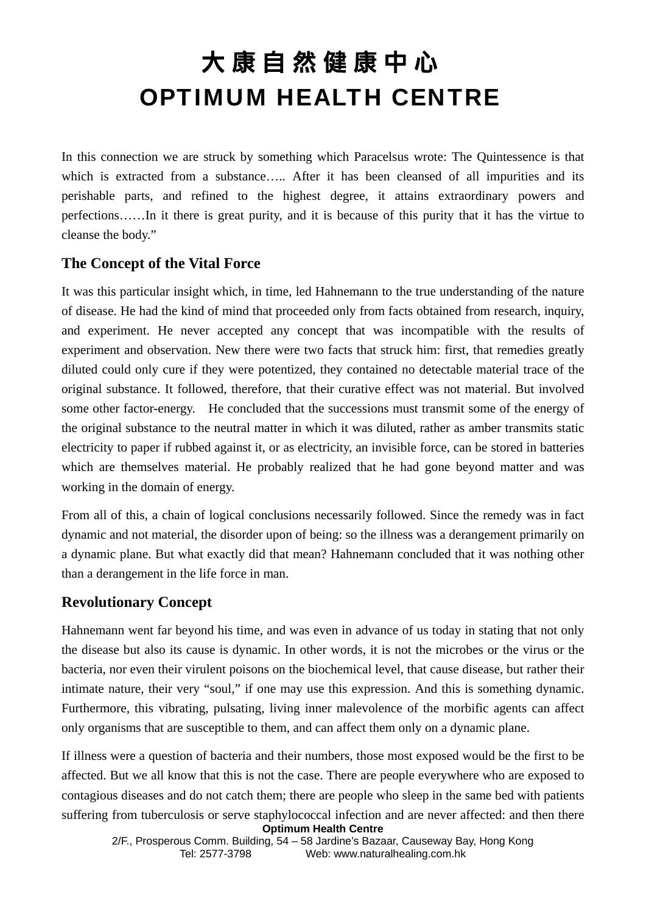In this connection we are struck by something which Paracelsus wrote: The Quintessence is that which is extracted from a substance..... After it has been cleansed of all impurities and its perishable parts, and refined to the highest degree, it attains extraordinary powers and perfections……In it there is great purity, and it is because of this purity that it has the virtue to cleanse the body."

#### **The Concept of the Vital Force**

It was this particular insight which, in time, led Hahnemann to the true understanding of the nature of disease. He had the kind of mind that proceeded only from facts obtained from research, inquiry, and experiment. He never accepted any concept that was incompatible with the results of experiment and observation. New there were two facts that struck him: first, that remedies greatly diluted could only cure if they were potentized, they contained no detectable material trace of the original substance. It followed, therefore, that their curative effect was not material. But involved some other factor-energy. He concluded that the successions must transmit some of the energy of the original substance to the neutral matter in which it was diluted, rather as amber transmits static electricity to paper if rubbed against it, or as electricity, an invisible force, can be stored in batteries which are themselves material. He probably realized that he had gone beyond matter and was working in the domain of energy.

From all of this, a chain of logical conclusions necessarily followed. Since the remedy was in fact dynamic and not material, the disorder upon of being: so the illness was a derangement primarily on a dynamic plane. But what exactly did that mean? Hahnemann concluded that it was nothing other than a derangement in the life force in man.

#### **Revolutionary Concept**

Hahnemann went far beyond his time, and was even in advance of us today in stating that not only the disease but also its cause is dynamic. In other words, it is not the microbes or the virus or the bacteria, nor even their virulent poisons on the biochemical level, that cause disease, but rather their intimate nature, their very "soul," if one may use this expression. And this is something dynamic. Furthermore, this vibrating, pulsating, living inner malevolence of the morbific agents can affect only organisms that are susceptible to them, and can affect them only on a dynamic plane.

**Optimum Health Centre**  If illness were a question of bacteria and their numbers, those most exposed would be the first to be affected. But we all know that this is not the case. There are people everywhere who are exposed to contagious diseases and do not catch them; there are people who sleep in the same bed with patients suffering from tuberculosis or serve staphylococcal infection and are never affected: and then there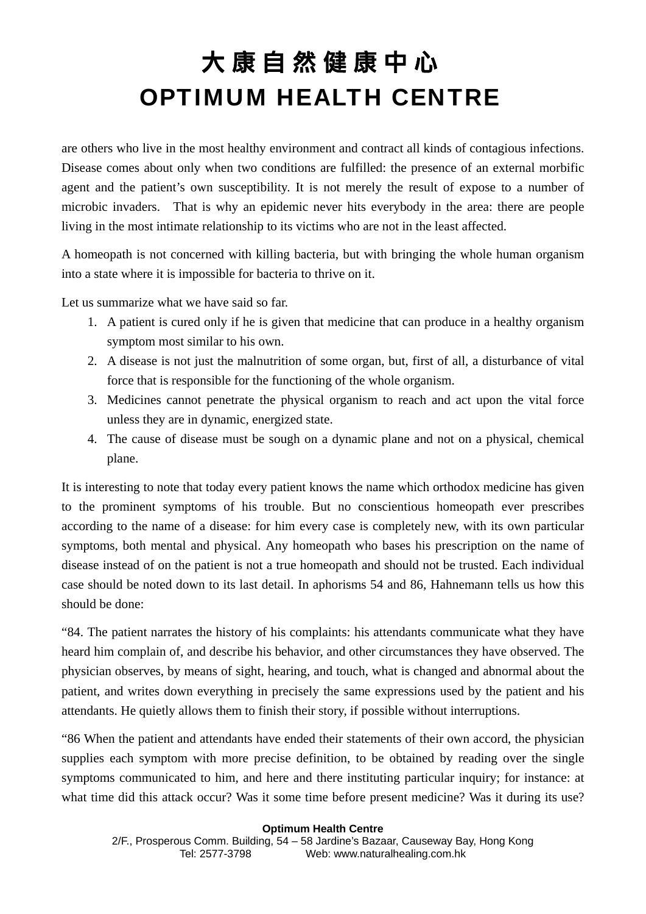are others who live in the most healthy environment and contract all kinds of contagious infections. Disease comes about only when two conditions are fulfilled: the presence of an external morbific agent and the patient's own susceptibility. It is not merely the result of expose to a number of microbic invaders. That is why an epidemic never hits everybody in the area: there are people living in the most intimate relationship to its victims who are not in the least affected.

A homeopath is not concerned with killing bacteria, but with bringing the whole human organism into a state where it is impossible for bacteria to thrive on it.

Let us summarize what we have said so far.

- 1. A patient is cured only if he is given that medicine that can produce in a healthy organism symptom most similar to his own.
- 2. A disease is not just the malnutrition of some organ, but, first of all, a disturbance of vital force that is responsible for the functioning of the whole organism.
- 3. Medicines cannot penetrate the physical organism to reach and act upon the vital force unless they are in dynamic, energized state.
- 4. The cause of disease must be sough on a dynamic plane and not on a physical, chemical plane.

It is interesting to note that today every patient knows the name which orthodox medicine has given to the prominent symptoms of his trouble. But no conscientious homeopath ever prescribes according to the name of a disease: for him every case is completely new, with its own particular symptoms, both mental and physical. Any homeopath who bases his prescription on the name of disease instead of on the patient is not a true homeopath and should not be trusted. Each individual case should be noted down to its last detail. In aphorisms 54 and 86, Hahnemann tells us how this should be done:

"84. The patient narrates the history of his complaints: his attendants communicate what they have heard him complain of, and describe his behavior, and other circumstances they have observed. The physician observes, by means of sight, hearing, and touch, what is changed and abnormal about the patient, and writes down everything in precisely the same expressions used by the patient and his attendants. He quietly allows them to finish their story, if possible without interruptions.

"86 When the patient and attendants have ended their statements of their own accord, the physician supplies each symptom with more precise definition, to be obtained by reading over the single symptoms communicated to him, and here and there instituting particular inquiry; for instance: at what time did this attack occur? Was it some time before present medicine? Was it during its use?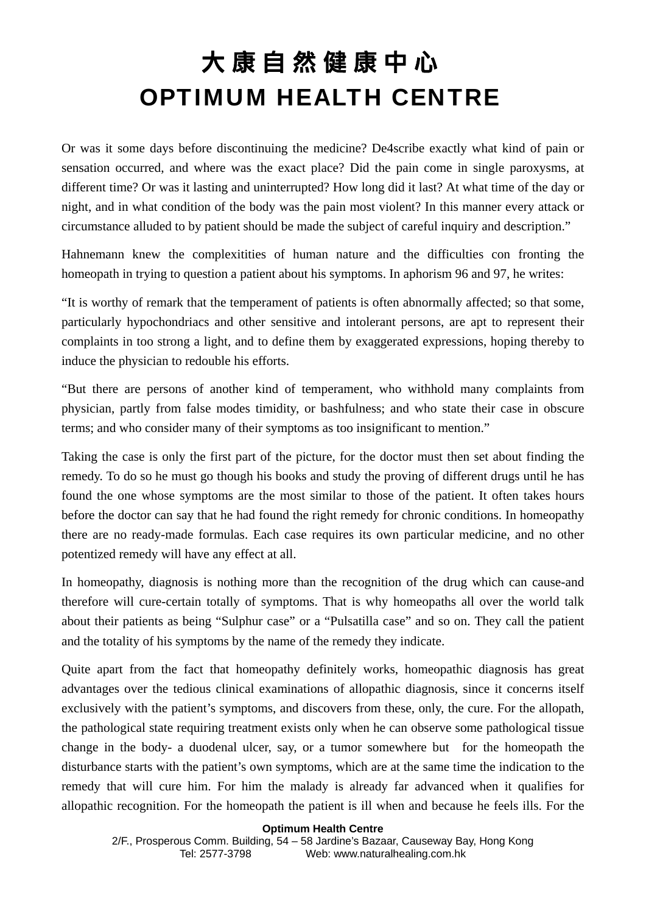Or was it some days before discontinuing the medicine? De4scribe exactly what kind of pain or sensation occurred, and where was the exact place? Did the pain come in single paroxysms, at different time? Or was it lasting and uninterrupted? How long did it last? At what time of the day or night, and in what condition of the body was the pain most violent? In this manner every attack or circumstance alluded to by patient should be made the subject of careful inquiry and description."

Hahnemann knew the complexitities of human nature and the difficulties con fronting the homeopath in trying to question a patient about his symptoms. In aphorism 96 and 97, he writes:

"It is worthy of remark that the temperament of patients is often abnormally affected; so that some, particularly hypochondriacs and other sensitive and intolerant persons, are apt to represent their complaints in too strong a light, and to define them by exaggerated expressions, hoping thereby to induce the physician to redouble his efforts.

"But there are persons of another kind of temperament, who withhold many complaints from physician, partly from false modes timidity, or bashfulness; and who state their case in obscure terms; and who consider many of their symptoms as too insignificant to mention."

Taking the case is only the first part of the picture, for the doctor must then set about finding the remedy. To do so he must go though his books and study the proving of different drugs until he has found the one whose symptoms are the most similar to those of the patient. It often takes hours before the doctor can say that he had found the right remedy for chronic conditions. In homeopathy there are no ready-made formulas. Each case requires its own particular medicine, and no other potentized remedy will have any effect at all.

In homeopathy, diagnosis is nothing more than the recognition of the drug which can cause-and therefore will cure-certain totally of symptoms. That is why homeopaths all over the world talk about their patients as being "Sulphur case" or a "Pulsatilla case" and so on. They call the patient and the totality of his symptoms by the name of the remedy they indicate.

Quite apart from the fact that homeopathy definitely works, homeopathic diagnosis has great advantages over the tedious clinical examinations of allopathic diagnosis, since it concerns itself exclusively with the patient's symptoms, and discovers from these, only, the cure. For the allopath, the pathological state requiring treatment exists only when he can observe some pathological tissue change in the body- a duodenal ulcer, say, or a tumor somewhere but for the homeopath the disturbance starts with the patient's own symptoms, which are at the same time the indication to the remedy that will cure him. For him the malady is already far advanced when it qualifies for allopathic recognition. For the homeopath the patient is ill when and because he feels ills. For the

#### **Optimum Health Centre**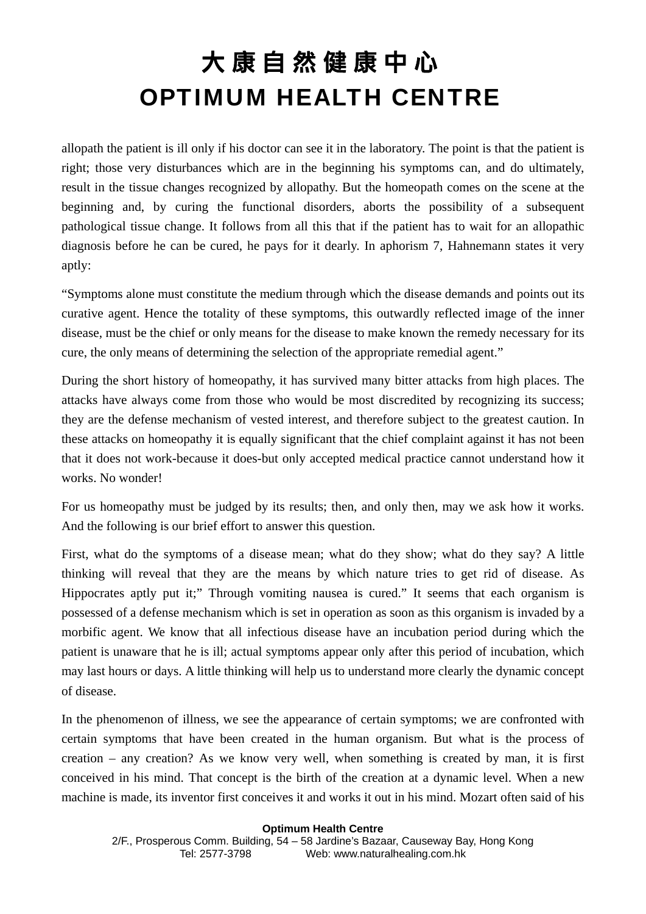allopath the patient is ill only if his doctor can see it in the laboratory. The point is that the patient is right; those very disturbances which are in the beginning his symptoms can, and do ultimately, result in the tissue changes recognized by allopathy. But the homeopath comes on the scene at the beginning and, by curing the functional disorders, aborts the possibility of a subsequent pathological tissue change. It follows from all this that if the patient has to wait for an allopathic diagnosis before he can be cured, he pays for it dearly. In aphorism 7, Hahnemann states it very aptly:

"Symptoms alone must constitute the medium through which the disease demands and points out its curative agent. Hence the totality of these symptoms, this outwardly reflected image of the inner disease, must be the chief or only means for the disease to make known the remedy necessary for its cure, the only means of determining the selection of the appropriate remedial agent."

During the short history of homeopathy, it has survived many bitter attacks from high places. The attacks have always come from those who would be most discredited by recognizing its success; they are the defense mechanism of vested interest, and therefore subject to the greatest caution. In these attacks on homeopathy it is equally significant that the chief complaint against it has not been that it does not work-because it does-but only accepted medical practice cannot understand how it works. No wonder!

For us homeopathy must be judged by its results; then, and only then, may we ask how it works. And the following is our brief effort to answer this question.

First, what do the symptoms of a disease mean; what do they show; what do they say? A little thinking will reveal that they are the means by which nature tries to get rid of disease. As Hippocrates aptly put it;" Through vomiting nausea is cured." It seems that each organism is possessed of a defense mechanism which is set in operation as soon as this organism is invaded by a morbific agent. We know that all infectious disease have an incubation period during which the patient is unaware that he is ill; actual symptoms appear only after this period of incubation, which may last hours or days. A little thinking will help us to understand more clearly the dynamic concept of disease.

In the phenomenon of illness, we see the appearance of certain symptoms; we are confronted with certain symptoms that have been created in the human organism. But what is the process of creation – any creation? As we know very well, when something is created by man, it is first conceived in his mind. That concept is the birth of the creation at a dynamic level. When a new machine is made, its inventor first conceives it and works it out in his mind. Mozart often said of his

#### **Optimum Health Centre**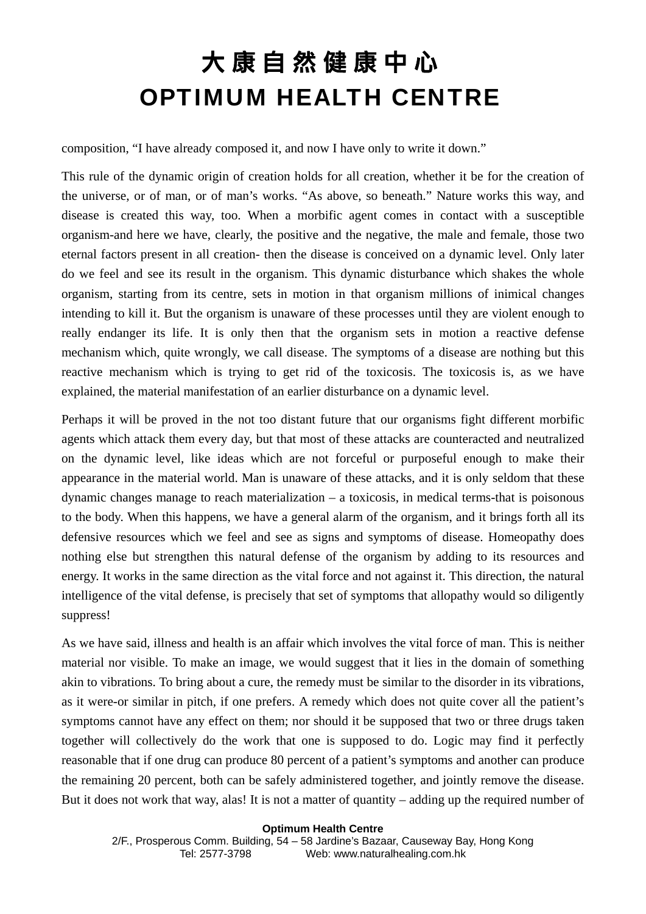composition, "I have already composed it, and now I have only to write it down."

This rule of the dynamic origin of creation holds for all creation, whether it be for the creation of the universe, or of man, or of man's works. "As above, so beneath." Nature works this way, and disease is created this way, too. When a morbific agent comes in contact with a susceptible organism-and here we have, clearly, the positive and the negative, the male and female, those two eternal factors present in all creation- then the disease is conceived on a dynamic level. Only later do we feel and see its result in the organism. This dynamic disturbance which shakes the whole organism, starting from its centre, sets in motion in that organism millions of inimical changes intending to kill it. But the organism is unaware of these processes until they are violent enough to really endanger its life. It is only then that the organism sets in motion a reactive defense mechanism which, quite wrongly, we call disease. The symptoms of a disease are nothing but this reactive mechanism which is trying to get rid of the toxicosis. The toxicosis is, as we have explained, the material manifestation of an earlier disturbance on a dynamic level.

Perhaps it will be proved in the not too distant future that our organisms fight different morbific agents which attack them every day, but that most of these attacks are counteracted and neutralized on the dynamic level, like ideas which are not forceful or purposeful enough to make their appearance in the material world. Man is unaware of these attacks, and it is only seldom that these dynamic changes manage to reach materialization – a toxicosis, in medical terms-that is poisonous to the body. When this happens, we have a general alarm of the organism, and it brings forth all its defensive resources which we feel and see as signs and symptoms of disease. Homeopathy does nothing else but strengthen this natural defense of the organism by adding to its resources and energy. It works in the same direction as the vital force and not against it. This direction, the natural intelligence of the vital defense, is precisely that set of symptoms that allopathy would so diligently suppress!

As we have said, illness and health is an affair which involves the vital force of man. This is neither material nor visible. To make an image, we would suggest that it lies in the domain of something akin to vibrations. To bring about a cure, the remedy must be similar to the disorder in its vibrations, as it were-or similar in pitch, if one prefers. A remedy which does not quite cover all the patient's symptoms cannot have any effect on them; nor should it be supposed that two or three drugs taken together will collectively do the work that one is supposed to do. Logic may find it perfectly reasonable that if one drug can produce 80 percent of a patient's symptoms and another can produce the remaining 20 percent, both can be safely administered together, and jointly remove the disease. But it does not work that way, alas! It is not a matter of quantity – adding up the required number of

#### **Optimum Health Centre**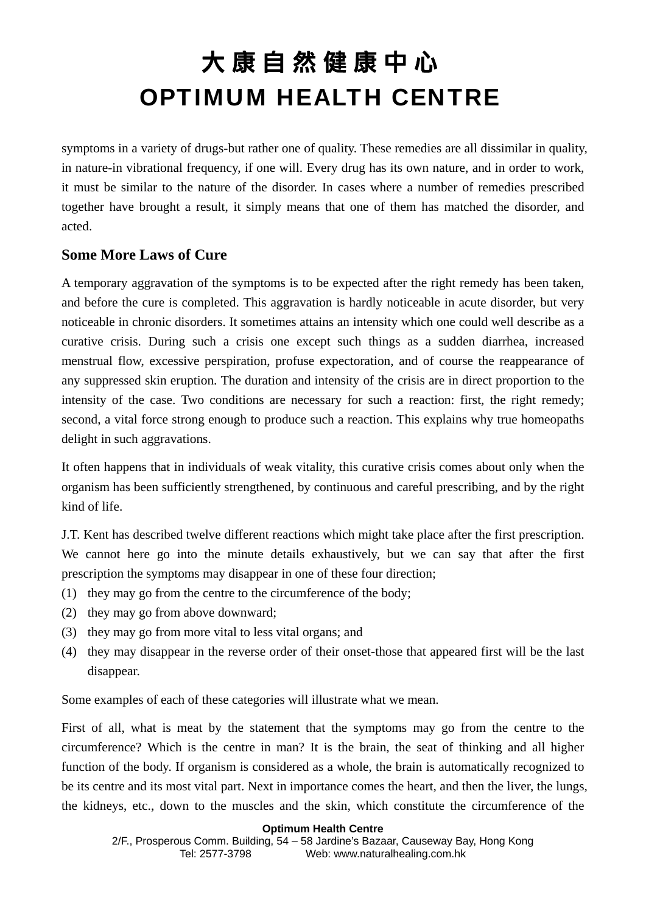symptoms in a variety of drugs-but rather one of quality. These remedies are all dissimilar in quality, in nature-in vibrational frequency, if one will. Every drug has its own nature, and in order to work, it must be similar to the nature of the disorder. In cases where a number of remedies prescribed together have brought a result, it simply means that one of them has matched the disorder, and acted.

#### **Some More Laws of Cure**

A temporary aggravation of the symptoms is to be expected after the right remedy has been taken, and before the cure is completed. This aggravation is hardly noticeable in acute disorder, but very noticeable in chronic disorders. It sometimes attains an intensity which one could well describe as a curative crisis. During such a crisis one except such things as a sudden diarrhea, increased menstrual flow, excessive perspiration, profuse expectoration, and of course the reappearance of any suppressed skin eruption. The duration and intensity of the crisis are in direct proportion to the intensity of the case. Two conditions are necessary for such a reaction: first, the right remedy; second, a vital force strong enough to produce such a reaction. This explains why true homeopaths delight in such aggravations.

It often happens that in individuals of weak vitality, this curative crisis comes about only when the organism has been sufficiently strengthened, by continuous and careful prescribing, and by the right kind of life.

J.T. Kent has described twelve different reactions which might take place after the first prescription. We cannot here go into the minute details exhaustively, but we can say that after the first prescription the symptoms may disappear in one of these four direction;

- (1) they may go from the centre to the circumference of the body;
- (2) they may go from above downward;
- (3) they may go from more vital to less vital organs; and
- (4) they may disappear in the reverse order of their onset-those that appeared first will be the last disappear.

Some examples of each of these categories will illustrate what we mean.

First of all, what is meat by the statement that the symptoms may go from the centre to the circumference? Which is the centre in man? It is the brain, the seat of thinking and all higher function of the body. If organism is considered as a whole, the brain is automatically recognized to be its centre and its most vital part. Next in importance comes the heart, and then the liver, the lungs, the kidneys, etc., down to the muscles and the skin, which constitute the circumference of the

#### **Optimum Health Centre**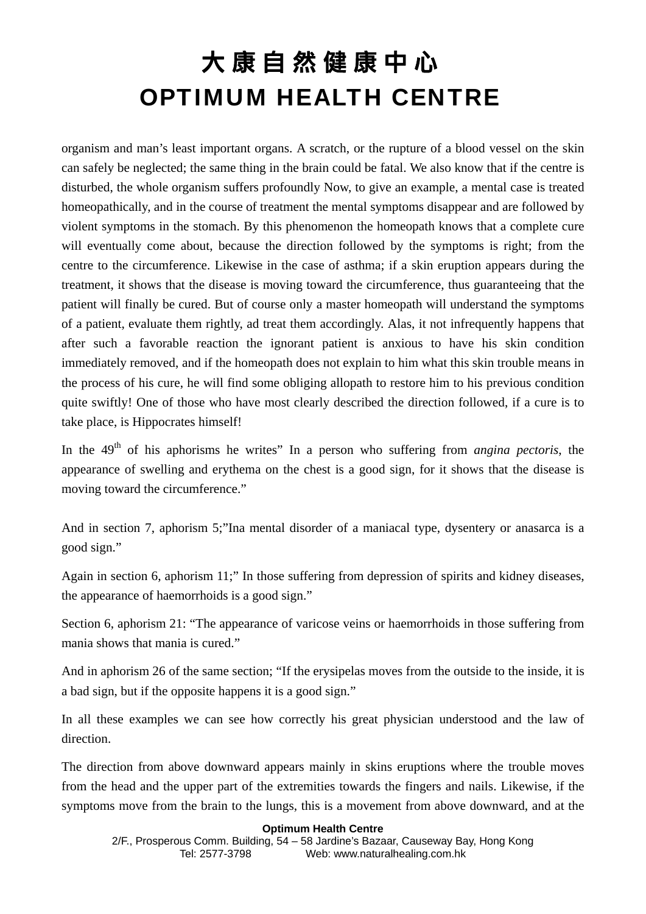organism and man's least important organs. A scratch, or the rupture of a blood vessel on the skin can safely be neglected; the same thing in the brain could be fatal. We also know that if the centre is disturbed, the whole organism suffers profoundly Now, to give an example, a mental case is treated homeopathically, and in the course of treatment the mental symptoms disappear and are followed by violent symptoms in the stomach. By this phenomenon the homeopath knows that a complete cure will eventually come about, because the direction followed by the symptoms is right; from the centre to the circumference. Likewise in the case of asthma; if a skin eruption appears during the treatment, it shows that the disease is moving toward the circumference, thus guaranteeing that the patient will finally be cured. But of course only a master homeopath will understand the symptoms of a patient, evaluate them rightly, ad treat them accordingly. Alas, it not infrequently happens that after such a favorable reaction the ignorant patient is anxious to have his skin condition immediately removed, and if the homeopath does not explain to him what this skin trouble means in the process of his cure, he will find some obliging allopath to restore him to his previous condition quite swiftly! One of those who have most clearly described the direction followed, if a cure is to take place, is Hippocrates himself!

In the 49<sup>th</sup> of his aphorisms he writes" In a person who suffering from *angina pectoris*, the appearance of swelling and erythema on the chest is a good sign, for it shows that the disease is moving toward the circumference."

And in section 7, aphorism 5;"Ina mental disorder of a maniacal type, dysentery or anasarca is a good sign."

Again in section 6, aphorism 11;" In those suffering from depression of spirits and kidney diseases, the appearance of haemorrhoids is a good sign."

Section 6, aphorism 21: "The appearance of varicose veins or haemorrhoids in those suffering from mania shows that mania is cured."

And in aphorism 26 of the same section; "If the erysipelas moves from the outside to the inside, it is a bad sign, but if the opposite happens it is a good sign."

In all these examples we can see how correctly his great physician understood and the law of direction.

The direction from above downward appears mainly in skins eruptions where the trouble moves from the head and the upper part of the extremities towards the fingers and nails. Likewise, if the symptoms move from the brain to the lungs, this is a movement from above downward, and at the

#### **Optimum Health Centre**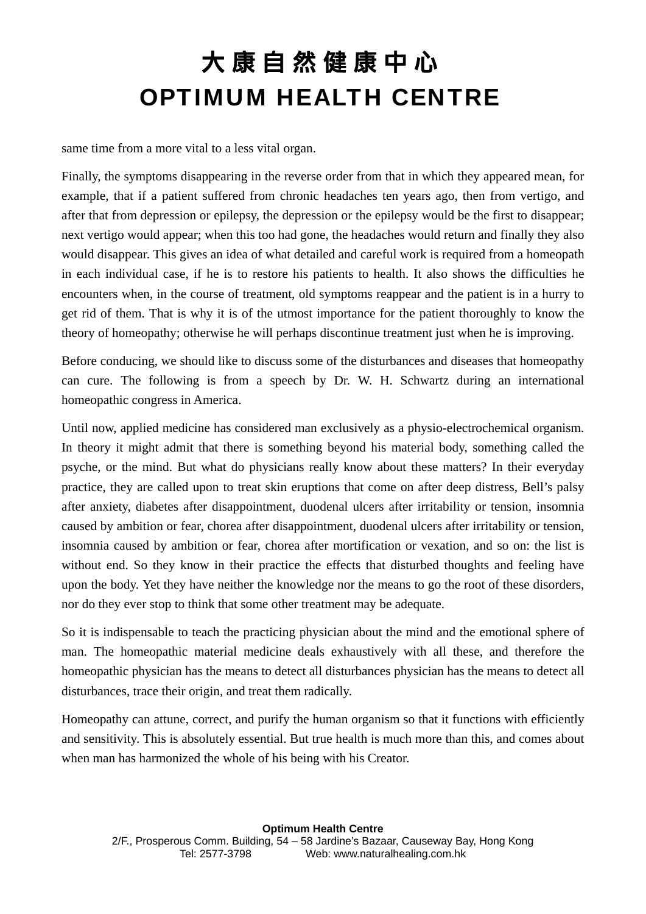same time from a more vital to a less vital organ.

Finally, the symptoms disappearing in the reverse order from that in which they appeared mean, for example, that if a patient suffered from chronic headaches ten years ago, then from vertigo, and after that from depression or epilepsy, the depression or the epilepsy would be the first to disappear; next vertigo would appear; when this too had gone, the headaches would return and finally they also would disappear. This gives an idea of what detailed and careful work is required from a homeopath in each individual case, if he is to restore his patients to health. It also shows the difficulties he encounters when, in the course of treatment, old symptoms reappear and the patient is in a hurry to get rid of them. That is why it is of the utmost importance for the patient thoroughly to know the theory of homeopathy; otherwise he will perhaps discontinue treatment just when he is improving.

Before conducing, we should like to discuss some of the disturbances and diseases that homeopathy can cure. The following is from a speech by Dr. W. H. Schwartz during an international homeopathic congress in America.

Until now, applied medicine has considered man exclusively as a physio-electrochemical organism. In theory it might admit that there is something beyond his material body, something called the psyche, or the mind. But what do physicians really know about these matters? In their everyday practice, they are called upon to treat skin eruptions that come on after deep distress, Bell's palsy after anxiety, diabetes after disappointment, duodenal ulcers after irritability or tension, insomnia caused by ambition or fear, chorea after disappointment, duodenal ulcers after irritability or tension, insomnia caused by ambition or fear, chorea after mortification or vexation, and so on: the list is without end. So they know in their practice the effects that disturbed thoughts and feeling have upon the body. Yet they have neither the knowledge nor the means to go the root of these disorders, nor do they ever stop to think that some other treatment may be adequate.

So it is indispensable to teach the practicing physician about the mind and the emotional sphere of man. The homeopathic material medicine deals exhaustively with all these, and therefore the homeopathic physician has the means to detect all disturbances physician has the means to detect all disturbances, trace their origin, and treat them radically.

Homeopathy can attune, correct, and purify the human organism so that it functions with efficiently and sensitivity. This is absolutely essential. But true health is much more than this, and comes about when man has harmonized the whole of his being with his Creator.